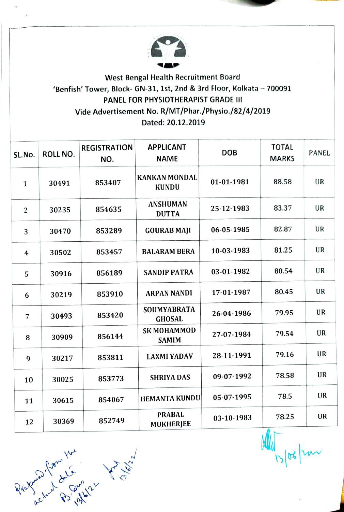

## West Bengal Health Recruitment Board 'Benfish' Tower, Block- GN-31, 1st, 2nd & 3rd Floor, Kolkata - 700091 PANEL FOR PHYSIOTHERAPIST GRADE II Vide Advertisement No. R/MT/Phar./Physio./82/4/2019 Dated: 20.12.2019

| ROLL NO. | <b>REGISTRATION</b><br>NO. | <b>APPLICANT</b><br><b>NAME</b>      | <b>DOB</b> | <b>TOTAL</b><br><b>MARKS</b> | <b>PANEL</b> |
|----------|----------------------------|--------------------------------------|------------|------------------------------|--------------|
| 30491    | 853407                     | <b>KANKAN MONDAL</b><br><b>KUNDU</b> | 01-01-1981 | 88.58                        | UR           |
| 30235    | 854635                     | <b>ANSHUMAN</b><br><b>DUTTA</b>      | 25-12-1983 | 83.37                        | <b>UR</b>    |
| 30470    | 853289                     | <b>GOURAB MAJI</b>                   | 06-05-1985 | 82.87                        | UR           |
| 30502    | 853457                     | <b>BALARAM BERA</b>                  | 10-03-1983 | 81.25                        | UR           |
| 30916    | 856189                     | <b>SANDIP PATRA</b>                  | 03-01-1982 | 80.54                        | UR           |
| 30219    | 853910                     | <b>ARPAN NANDI</b>                   | 17-01-1987 | 80.45                        | <b>UR</b>    |
| 30493    | 853420                     | SOUMYABRATA<br><b>GHOSAL</b>         | 26-04-1986 | 79.95                        | UR           |
| 30909    | 856144                     | <b>SK MOHAMMOD</b><br><b>SAMIM</b>   | 27-07-1984 | 79.54                        | <b>UR</b>    |
| 30217    | 853811                     | <b>LAXMI YADAV</b>                   | 28-11-1991 | 79.16                        | UR           |
| 30025    | 853773                     | <b>SHRIYA DAS</b>                    | 09-07-1992 | 78.58                        | <b>UR</b>    |
| 30615    | 854067                     |                                      | 05-07-1995 | 78.5                         | UR           |
| 30369    | 852749                     | <b>PRABAL</b><br><b>MUKHERJEE</b>    | 03-10-1983 | 78.25                        | <b>UR</b>    |
|          |                            |                                      |            | <b>HEMANTA KUNDU</b>         | m.           |

 $\sigma$ 

 $840 \times 10^{10} \times 10^{10} \times 10^{10} \times 10^{10} \times 10^{10} \times 10^{10} \times 10^{10} \times 10^{10} \times 10^{10} \times 10^{10} \times 10^{10} \times 10^{10} \times 10^{10} \times 10^{10} \times 10^{10} \times 10^{10} \times 10^{10} \times 10^{10} \times 10^{10} \times 10^{10} \times 10^{10} \times 10^{10} \times 10^{10} \times 10^{10} \$